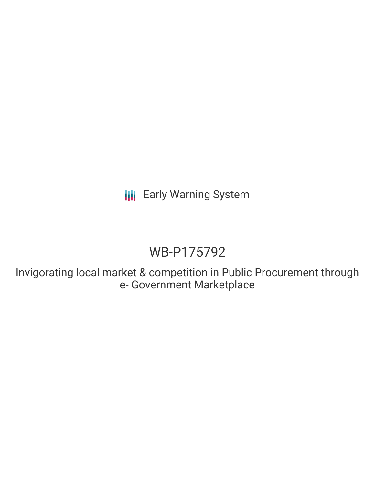# WB-P175792

Invigorating local market & competition in Public Procurement through e- Government Marketplace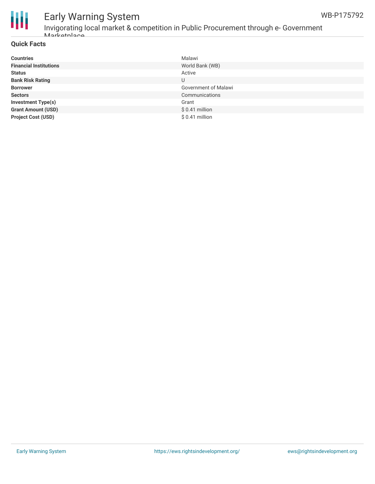



Invigorating local market & competition in Public Procurement through e- Government er<br>Markatnlace

### **Quick Facts**

| <b>Countries</b>              | Malawi               |
|-------------------------------|----------------------|
| <b>Financial Institutions</b> | World Bank (WB)      |
| <b>Status</b>                 | Active               |
| <b>Bank Risk Rating</b>       | U                    |
| <b>Borrower</b>               | Government of Malawi |
| <b>Sectors</b>                | Communications       |
| <b>Investment Type(s)</b>     | Grant                |
| <b>Grant Amount (USD)</b>     | $$0.41$ million      |
| <b>Project Cost (USD)</b>     | $$0.41$ million      |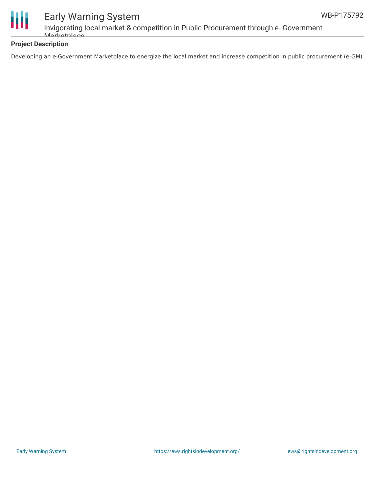

Invigorating local market & competition in Public Procurement through e- Government Markatplace

### **Project Description**

Developing an e-Government Marketplace to energize the local market and increase competition in public procurement (e-GM)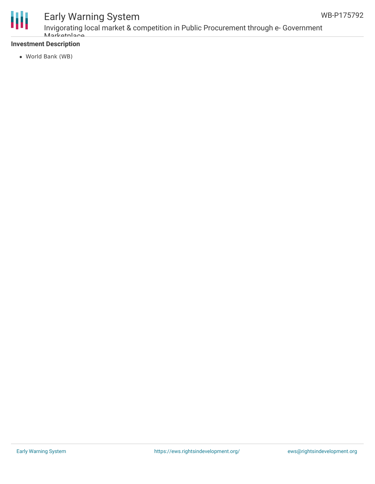

Invigorating local market & competition in Public Procurement through e- Government *Marketplace* 

### **Investment Description**

World Bank (WB)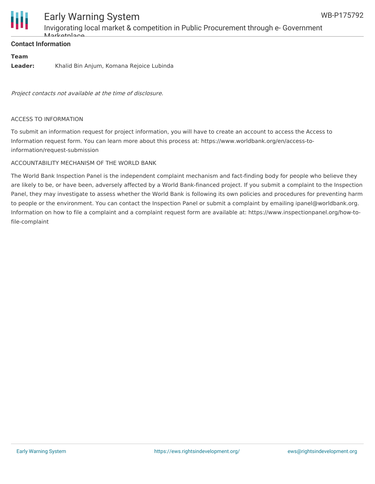

Invigorating local market & competition in Public Procurement through e- Government Markotplace

### **Contact Information**

### **Team**

**Leader:** Khalid Bin Anjum, Komana Rejoice Lubinda

Project contacts not available at the time of disclosure.

#### ACCESS TO INFORMATION

To submit an information request for project information, you will have to create an account to access the Access to Information request form. You can learn more about this process at: https://www.worldbank.org/en/access-toinformation/request-submission

### ACCOUNTABILITY MECHANISM OF THE WORLD BANK

The World Bank Inspection Panel is the independent complaint mechanism and fact-finding body for people who believe they are likely to be, or have been, adversely affected by a World Bank-financed project. If you submit a complaint to the Inspection Panel, they may investigate to assess whether the World Bank is following its own policies and procedures for preventing harm to people or the environment. You can contact the Inspection Panel or submit a complaint by emailing ipanel@worldbank.org. Information on how to file a complaint and a complaint request form are available at: https://www.inspectionpanel.org/how-tofile-complaint